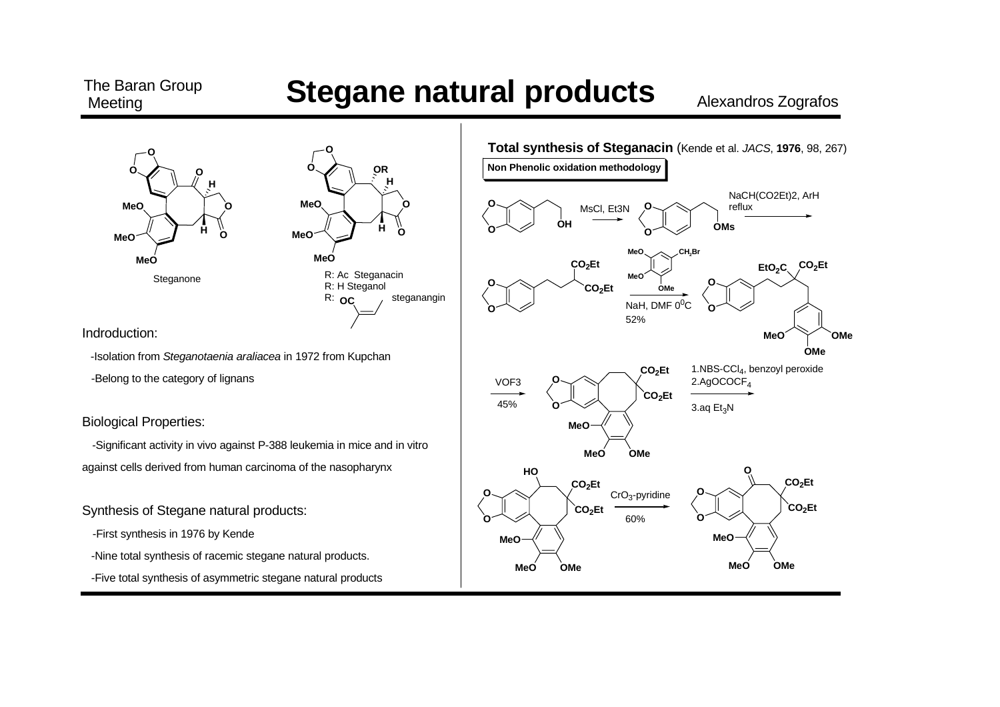#### The Baran Group **Meeting**

#### **Stegane natural products**

Alexandros Zografos





Indroduction:

-Isolation from Steganotaenia araliacea in 1972 from Kupchan

-Belong to the category of lignans

**Biological Properties:** 

-Significant activity in vivo against P-388 leukemia in mice and in vitro against cells derived from human carcinoma of the nasopharynx

Synthesis of Stegane natural products:

-First synthesis in 1976 by Kende

-Nine total synthesis of racemic stegane natural products.

-Five total synthesis of asymmetric stegane natural products

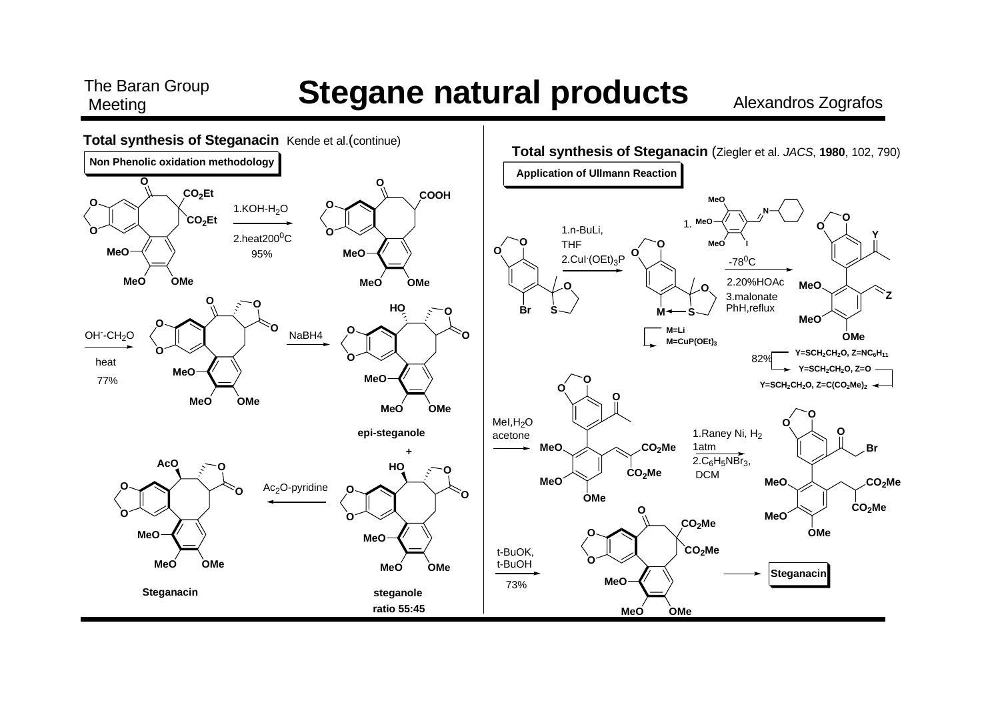### **Stegane natural products**

The Baran Group

Meeting

**Alexandros Zografos** 

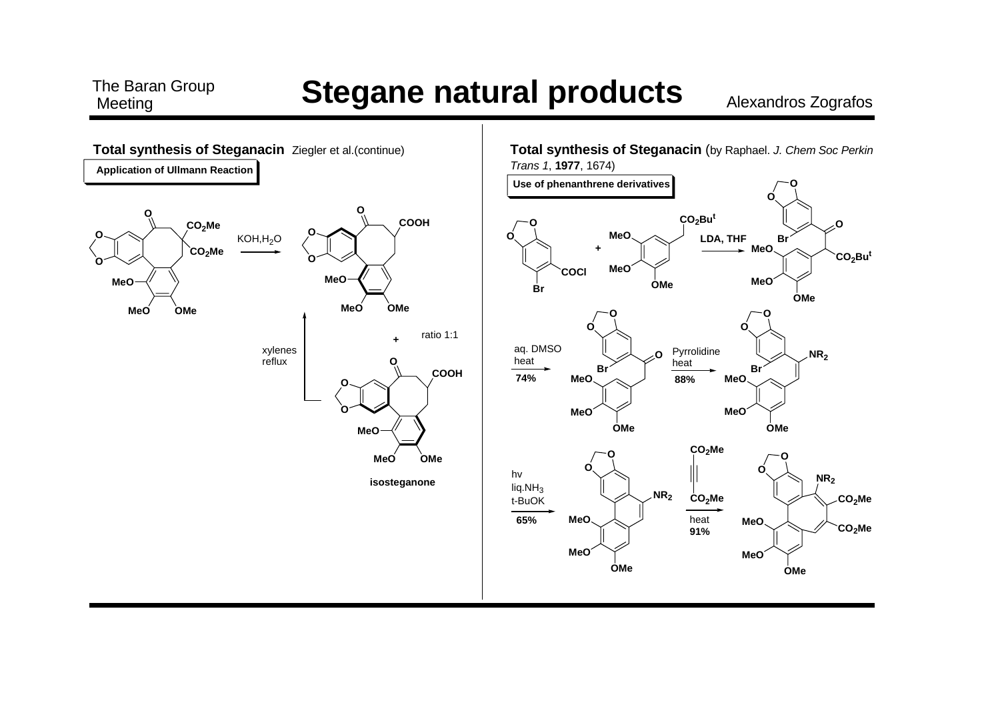# **The Baran Group <b>Stegane natural products** Alexandros Zografos

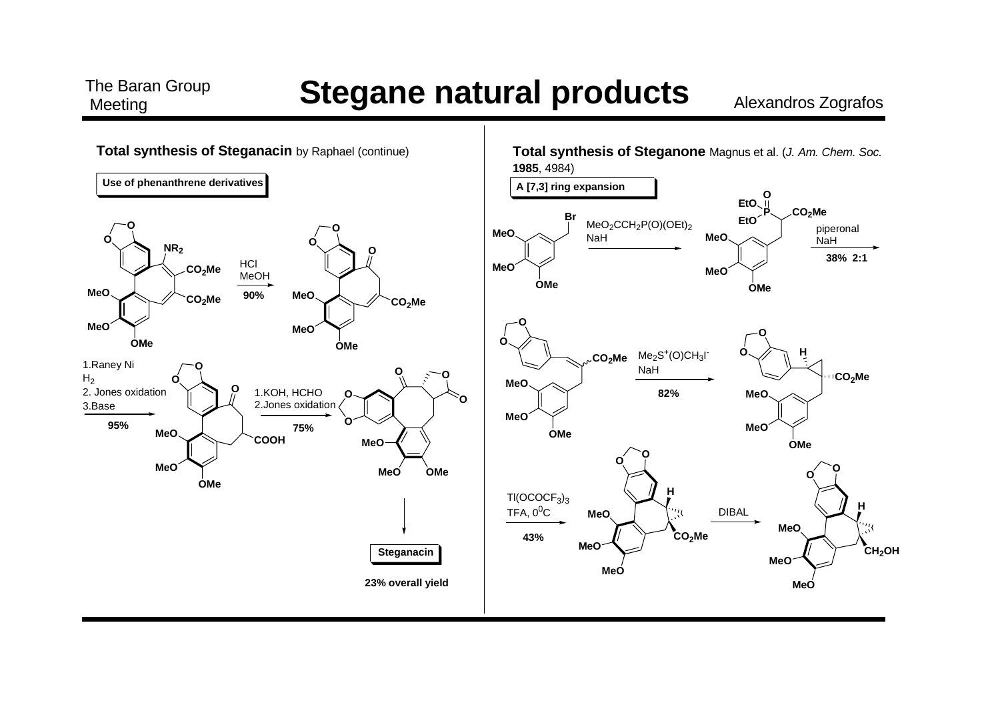#### **The Baran Group <b>Stegane natural products** Alexandros Zografos

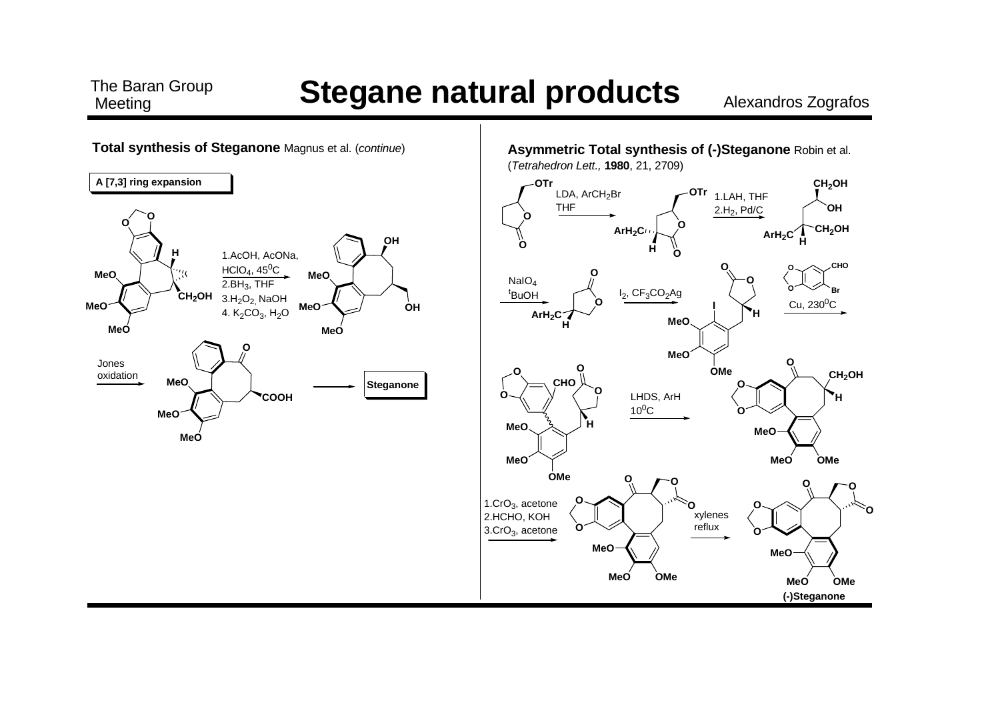# **Stegane natural products**

The Baran Group

Meeting

Alexandros Zografos

**OH** 

CHO

CH<sub>2</sub>OH

٢O

OMe

'n